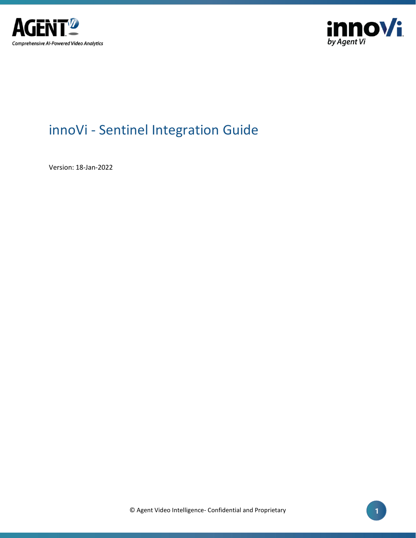



# innoVi - Sentinel Integration Guide

Version: 18-Jan-2022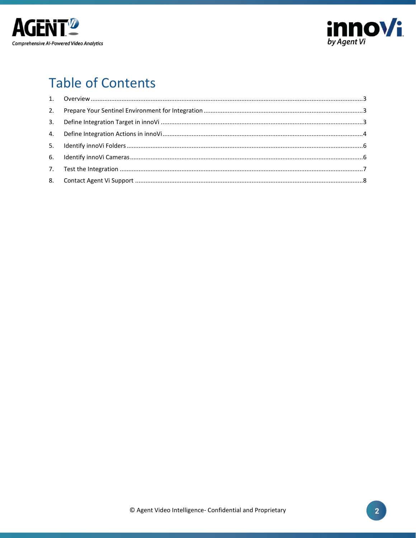



# **Table of Contents**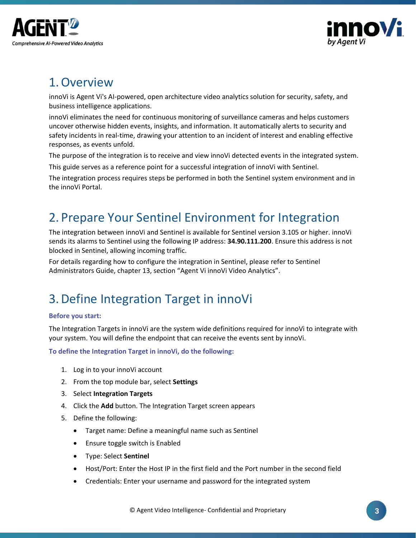



### <span id="page-2-0"></span>1.Overview

innoVi is Agent Vi's AI-powered, open architecture video analytics solution for security, safety, and business intelligence applications.

innoVi eliminates the need for continuous monitoring of surveillance cameras and helps customers uncover otherwise hidden events, insights, and information. It automatically alerts to security and safety incidents in real-time, drawing your attention to an incident of interest and enabling effective responses, as events unfold.

The purpose of the integration is to receive and view innoVi detected events in the integrated system.

This guide serves as a reference point for a successful integration of innoVi with Sentinel.

The integration process requires steps be performed in both the Sentinel system environment and in the innoVi Portal.

### <span id="page-2-1"></span>2. Prepare Your Sentinel Environment for Integration

The integration between innoVi and Sentinel is available for Sentinel version 3.105 or higher. innoVi sends its alarms to Sentinel using the following IP address: **34.90.111.200**. Ensure this address is not blocked in Sentinel, allowing incoming traffic.

For details regarding how to configure the integration in Sentinel, please refer to Sentinel Administrators Guide, chapter 13, section "Agent Vi innoVi Video Analytics".

## <span id="page-2-2"></span>3.Define Integration Target in innoVi

#### **Before you start:**

The Integration Targets in innoVi are the system wide definitions required for innoVi to integrate with your system. You will define the endpoint that can receive the events sent by innoVi.

**To define the Integration Target in innoVi, do the following:**

- 1. Log in to your innoVi account
- 2. From the top module bar, select **Settings**
- 3. Select **Integration Targets**
- 4. Click the **Add** button. The Integration Target screen appears
- 5. Define the following:
	- Target name: Define a meaningful name such as Sentinel
	- Ensure toggle switch is Enabled
	- Type: Select **Sentinel**
	- Host/Port: Enter the Host IP in the first field and the Port number in the second field
	- Credentials: Enter your username and password for the integrated system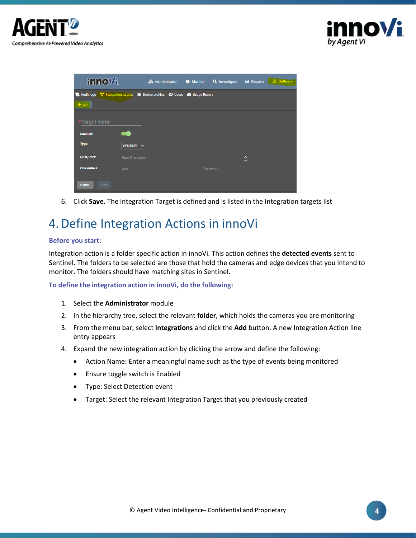



| <b>innov/i</b>                     | <b>R</b> Administrator                                                                         | Q Investigate<br><b>O</b> Monitor | <b><math>\equiv</math></b> Settings<br><b>III</b> Reports |
|------------------------------------|------------------------------------------------------------------------------------------------|-----------------------------------|-----------------------------------------------------------|
|                                    | <b>12</b> Audit logs T Integration targets T Device profiles <sup>2</sup> Users 2 Usage Report |                                   |                                                           |
| $+$ Add                            |                                                                                                |                                   |                                                           |
| *Target name                       |                                                                                                |                                   |                                                           |
| <b>Enabled:</b>                    |                                                                                                |                                   |                                                           |
| Type:                              | SENTINEL V                                                                                     |                                   |                                                           |
| <b>Host/Port:</b>                  | Host IP or name                                                                                |                                   | $\hat{\phantom{a}}$<br>$\checkmark$                       |
| <b>Credentials:</b><br><b>User</b> |                                                                                                | Password                          |                                                           |
| Cancel<br>Save                     |                                                                                                |                                   |                                                           |

6. Click **Save**. The integration Target is defined and is listed in the Integration targets list

### <span id="page-3-0"></span>4.Define Integration Actions in innoVi

#### **Before you start:**

Integration action is a folder specific action in innoVi. This action defines the **detected events** sent to Sentinel. The folders to be selected are those that hold the cameras and edge devices that you intend to monitor. The folders should have matching sites in Sentinel.

**To define the integration action in innoVi, do the following:**

- 1. Select the **Administrator** module
- 2. In the hierarchy tree, select the relevant **folder**, which holds the cameras you are monitoring
- 3. From the menu bar, select **Integrations** and click the **Add** button. A new Integration Action line entry appears
- 4. Expand the new integration action by clicking the arrow and define the following:
	- Action Name: Enter a meaningful name such as the type of events being monitored
	- Ensure toggle switch is Enabled
	- Type: Select Detection event
	- Target: Select the relevant Integration Target that you previously created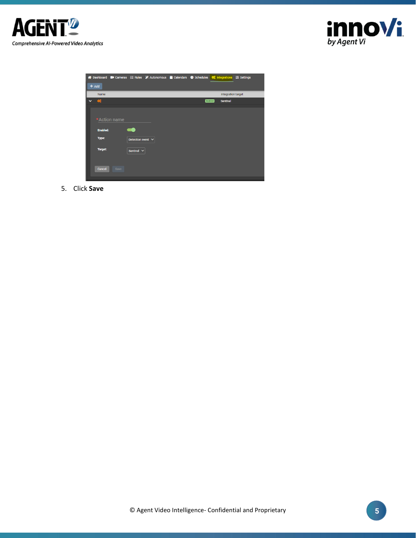



|              |                                        | < Bushboard ■ Cameras : En Rules %Autonomous = Calendars ● Schedules \$ untegrations = Settings |  |         |                    |  |
|--------------|----------------------------------------|-------------------------------------------------------------------------------------------------|--|---------|--------------------|--|
|              | $+$ Add                                |                                                                                                 |  |         |                    |  |
|              | Name                                   |                                                                                                 |  |         | Integration target |  |
| $\checkmark$ | $\mathbf{Q}_{\mathbf{G}}^{\mathbf{G}}$ |                                                                                                 |  | Enabled | <b>Sentinel</b>    |  |
|              |                                        |                                                                                                 |  |         |                    |  |
|              |                                        |                                                                                                 |  |         |                    |  |
|              | *Action name                           |                                                                                                 |  |         |                    |  |
|              |                                        |                                                                                                 |  |         |                    |  |
|              | <b>Enabled:</b>                        | o a                                                                                             |  |         |                    |  |
|              | Type:                                  | Detection event $\vee$                                                                          |  |         |                    |  |
|              |                                        |                                                                                                 |  |         |                    |  |
|              | Target:                                | Sentinel $\vee$                                                                                 |  |         |                    |  |
|              |                                        |                                                                                                 |  |         |                    |  |
|              |                                        |                                                                                                 |  |         |                    |  |
|              | Cancel                                 | Save                                                                                            |  |         |                    |  |
|              |                                        |                                                                                                 |  |         |                    |  |

5. Click **Save**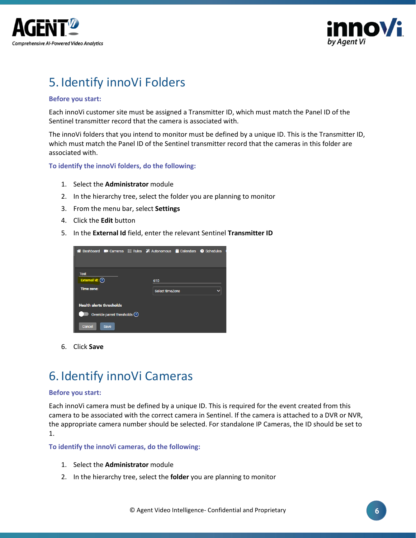



## <span id="page-5-0"></span>5. Identify innoVi Folders

#### **Before you start:**

Each innoVi customer site must be assigned a Transmitter ID, which must match the Panel ID of the Sentinel transmitter record that the camera is associated with.

The innoVi folders that you intend to monitor must be defined by a unique ID. This is the Transmitter ID, which must match the Panel ID of the Sentinel transmitter record that the cameras in this folder are associated with.

**To identify the innoVi folders, do the following:**

- 1. Select the **Administrator** module
- 2. In the hierarchy tree, select the folder you are planning to monitor
- 3. From the menu bar, select **Settings**
- 4. Click the **Edit** button
- 5. In the **External Id** field, enter the relevant Sentinel **Transmitter ID**

| « Dashboard ■ Cameras 三 Rules » Autonomous ■ Calendars ● Schedules |  |                        |  |  |
|--------------------------------------------------------------------|--|------------------------|--|--|
| <b>Test</b><br>External id: $(?)$                                  |  | 610                    |  |  |
| <b>Time zone:</b>                                                  |  | <b>Select timeZone</b> |  |  |
| <b>Health alerts thresholds</b>                                    |  |                        |  |  |
| Override parent thresholds (?)                                     |  |                        |  |  |
| Cancel<br><b>Save</b>                                              |  |                        |  |  |

6. Click **Save**

### <span id="page-5-1"></span>6. Identify innoVi Cameras

#### **Before you start:**

Each innoVi camera must be defined by a unique ID. This is required for the event created from this camera to be associated with the correct camera in Sentinel. If the camera is attached to a DVR or NVR, the appropriate camera number should be selected. For standalone IP Cameras, the ID should be set to 1.

**To identify the innoVi cameras, do the following:**

- 1. Select the **Administrator** module
- 2. In the hierarchy tree, select the **folder** you are planning to monitor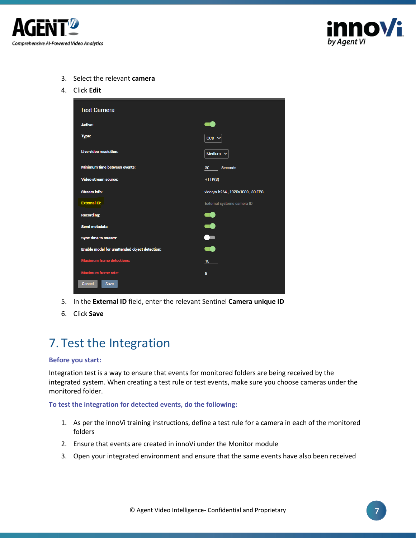



- 3. Select the relevant **camera**
- 4. Click **Edit**

| <b>Test Camera</b>                            |                                 |  |  |  |
|-----------------------------------------------|---------------------------------|--|--|--|
| <b>Active:</b>                                |                                 |  |  |  |
| Type:                                         | $CCD \sim$                      |  |  |  |
| <b>Live video resolution:</b>                 | Medium $\vee$                   |  |  |  |
| <b>Minimum time between events:</b>           | $30 -$<br><b>Seconds</b>        |  |  |  |
| <b>Video stream source:</b>                   | HTTP(S)                         |  |  |  |
| <b>Stream info:</b>                           | video/x-h264, 1920x1080, 30 FPS |  |  |  |
| <b>External ID:</b>                           | External systems camera ID      |  |  |  |
| <b>Recording:</b>                             | $\mathcal{L}$                   |  |  |  |
| Send metadata:                                | æ                               |  |  |  |
| Sync time to stream:                          | $\bullet$                       |  |  |  |
| Enable model for unattended object detection: | ۲ê                              |  |  |  |
| <b>Maximum frame detections:</b>              | 15 <sub>1</sub>                 |  |  |  |
| <b>Maximum frame rate:</b>                    | 8 <sup>2</sup>                  |  |  |  |
| Cancel<br>Save                                |                                 |  |  |  |

- 5. In the **External ID** field, enter the relevant Sentinel **Camera unique ID**
- 6. Click **Save**

### <span id="page-6-0"></span>7. Test the Integration

#### **Before you start:**

Integration test is a way to ensure that events for monitored folders are being received by the integrated system. When creating a test rule or test events, make sure you choose cameras under the monitored folder.

**To test the integration for detected events, do the following:**

- 1. As per the innoVi training instructions, define a test rule for a camera in each of the monitored folders
- 2. Ensure that events are created in innoVi under the Monitor module
- 3. Open your integrated environment and ensure that the same events have also been received